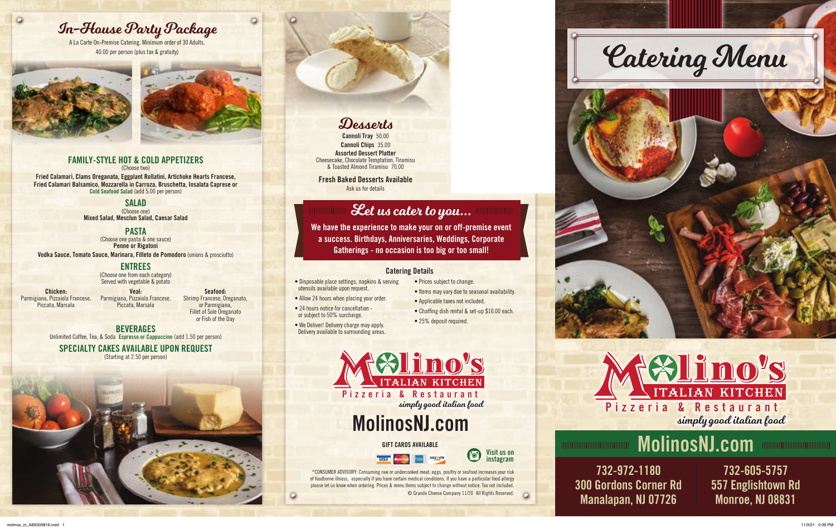- Disposable place settings, napkins & serving utensils available upon request.
- Allow 24 hours when placing your order.
- 24 hours notice for cancellation or subject to 50% surcharge.
- We Deliver! Delivery charge may apply. Delivery available to surrounding areas.
- Prices subject to change.
- Items may vary due to seasonal availability.
- Applicable taxes not included.
- Chaffing dish rental & set-up \$10.00 each.
- 25% deposit required.

#### Catering Details



#### FAMILY-STYLE HOT & COLD APPETIZERS (Choose two)

Fried Calamari, Clams Oreganata, Eggplant Rollatini, Artichoke Hearts Francese, Fried Calamari Balsamico, Mozzarella in Carroza, Bruschetta, Insalata Caprese or Cold Seafood Salad (add 5.00 per person)

**BEVERAGES** Unlimited Coffee, Tea, & Soda Espresso or Cappuccino (add 1.50 per person)

#### SALAD

Cannoli Chips 35.00 Assorted Dessert Platter Cheesecake, Chocolate Temptation, Tiramisu & Toasted Almond Tiramisu 70.00

(Choose one) Mixed Salad, Mesclun Salad, Caesar Salad

#### PASTA

(Choose one pasta & one sauce) Penne or Rigatoni

Vodka Sauce, Tomato Sauce, Marinara, Filleto de Pomodoro (onions & prosciutto)

#### ENTREES (Choose one from each category)

Served with vegetable & potato

Chicken: Parmigiana, Pizzaiola Francese, Piccata, Marsala

Veal: Parmigiana, Pizzaiola Francese, Piccata, Marsala Seafood:

Shrimp Francese, Oreganato, or Parmigiana, Fillet of Sole Oreganato

or Fish of the Day



 $\circ$ 

#### SPECIALTY CAKES AVAILABLE UPON REQUEST

(Starting at 2.50 per person)





Cannoli Tray 50.00

Fresh Baked Desserts Available Ask us for details



A La Carte On-Premise Catering. Minimum order of 30 Adults.



 $\circ$ 







732-605-5757 557 Englishtown Rd Monroe, NJ 08831

732-972-1180 300 Gordons Corner Rd Manalapan, NJ 07726



simply good italian food

\*CONSUMER ADVISORY: Consuming raw or undercooked meat, eggs, poultry or seafood increases your risk of foodborne illness, especially if you have certain medical conditions. If you have a particular food allergy please let us know when ordering. Prices & menu items subject to change without notice. Tax not included. © Grande Cheese Company 11/20 All Rights Reserved.

# MolinosNJ.com

## Let us cater to you...

We have the experience to make your on or off-premise event a success. Birthdays, Anniversaries, Weddings, Corporate Gatherings - no occasion is too big or too small!

# MolinosNJ.com